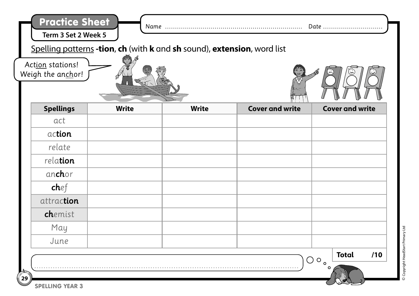| <b>Practice Sheet</b><br>Term 3 Set 2 Week 5 | Spelling patterns -tion, ch (with k and sh sound), extension, word list |              |                        | Date                                              |
|----------------------------------------------|-------------------------------------------------------------------------|--------------|------------------------|---------------------------------------------------|
| Action stations!<br>Weigh the anchor!        |                                                                         |              |                        |                                                   |
| <b>Spellings</b>                             | <b>Write</b>                                                            | <b>Write</b> | <b>Cover and write</b> | <b>Cover and write</b>                            |
| act                                          |                                                                         |              |                        |                                                   |
| action                                       |                                                                         |              |                        |                                                   |
| relate                                       |                                                                         |              |                        |                                                   |
| relation                                     |                                                                         |              |                        |                                                   |
| an <b>ch</b> or                              |                                                                         |              |                        |                                                   |
| chef                                         |                                                                         |              |                        |                                                   |
| attraction                                   |                                                                         |              |                        |                                                   |
| chemist                                      |                                                                         |              |                        |                                                   |
| May                                          |                                                                         |              |                        |                                                   |
| June                                         |                                                                         |              |                        |                                                   |
|                                              |                                                                         |              | $\bigcirc$             | /10<br><b>Total</b><br>$\bigcirc$<br>$\circ$<br>o |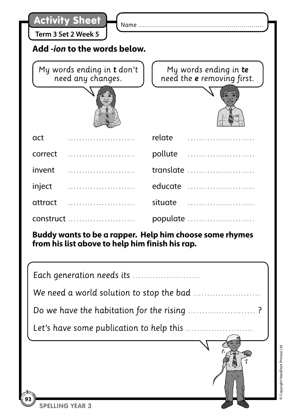| <b>Activity Sheet</b><br>Name.<br>Term 3 Set 2 Week 5<br>Add - <i>ion</i> to the words below. |                                                 |                                                     |  |  |
|-----------------------------------------------------------------------------------------------|-------------------------------------------------|-----------------------------------------------------|--|--|
|                                                                                               | My words ending in t don't<br>need any changes. | My words ending in te<br>need the e removing first. |  |  |
|                                                                                               |                                                 | 3. J                                                |  |  |
| act                                                                                           |                                                 | relate                                              |  |  |
| correct                                                                                       |                                                 | pollute                                             |  |  |
| invent                                                                                        |                                                 | translate                                           |  |  |
| inject                                                                                        |                                                 | educate                                             |  |  |
| attract                                                                                       |                                                 | situate                                             |  |  |

**Buddy wants to be a rapper. Help him choose some rhymes from his list above to help him finish his rap.**

construct …………………… populate ……………………

| Each generation needs its                  |
|--------------------------------------------|
| We need a world solution to stop the bad   |
| Do we have the habitation for the rising ? |
|                                            |
|                                            |
|                                            |
| <b>NG</b>                                  |